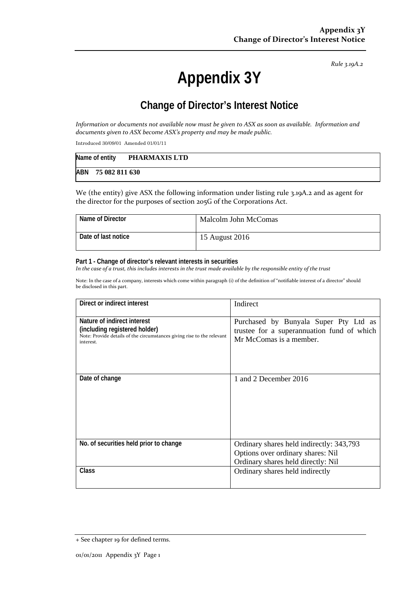*Rule 3.19A.2*

## **Appendix 3Y**

## **Change of Director's Interest Notice**

Information or documents not available now must be given to ASX as soon as available. Information and *documents given to ASX become ASX's property and may be made public.*

Introduced 30/09/01 Amended 01/01/11

| Name of entity     | PHARMAXIS LTD |
|--------------------|---------------|
| ABN 75 082 811 630 |               |

We (the entity) give ASX the following information under listing rule 3.19A.2 and as agent for the director for the purposes of section 205G of the Corporations Act.

| Name of Director    | Malcolm John McComas |
|---------------------|----------------------|
| Date of last notice | 15 August 2016       |

## **Part 1 - Change of director's relevant interests in securities**

In the case of a trust, this includes interests in the trust made available by the responsible entity of the trust

Note: In the case of a company, interests which come within paragraph (i) of the definition of "notifiable interest of a director" should be disclosed in this part.

| Direct or indirect interest                                                                                                                         | Indirect                                                                                                            |
|-----------------------------------------------------------------------------------------------------------------------------------------------------|---------------------------------------------------------------------------------------------------------------------|
| Nature of indirect interest<br>(including registered holder)<br>Note: Provide details of the circumstances giving rise to the relevant<br>interest. | Purchased by Bunyala Super Pty Ltd as<br>trustee for a superannuation fund of which<br>Mr McComas is a member.      |
| Date of change                                                                                                                                      | 1 and 2 December 2016                                                                                               |
| No. of securities held prior to change                                                                                                              | Ordinary shares held indirectly: 343,793<br>Options over ordinary shares: Nil<br>Ordinary shares held directly: Nil |
| <b>Class</b>                                                                                                                                        | Ordinary shares held indirectly                                                                                     |

<sup>+</sup> See chapter 19 for defined terms.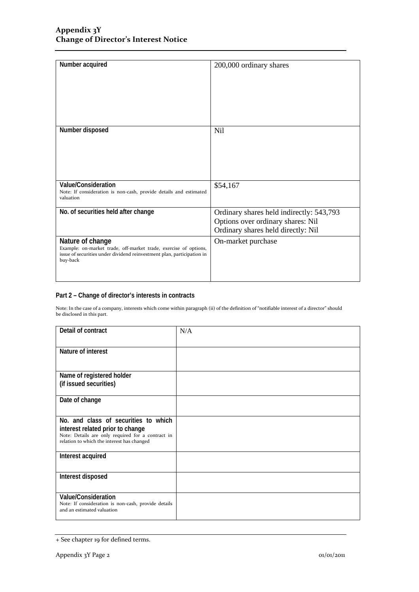| Number acquired                                                                                                                                                            | 200,000 ordinary shares                                                                                             |
|----------------------------------------------------------------------------------------------------------------------------------------------------------------------------|---------------------------------------------------------------------------------------------------------------------|
| Number disposed                                                                                                                                                            | Nil                                                                                                                 |
| Value/Consideration<br>Note: If consideration is non-cash, provide details and estimated<br>valuation                                                                      | \$54,167                                                                                                            |
| No. of securities held after change                                                                                                                                        | Ordinary shares held indirectly: 543,793<br>Options over ordinary shares: Nil<br>Ordinary shares held directly: Nil |
| Nature of change<br>Example: on-market trade, off-market trade, exercise of options,<br>issue of securities under dividend reinvestment plan, participation in<br>buy-back | On-market purchase                                                                                                  |

## **Part 2 – Change of director's interests in contracts**

Note: In the case of a company, interests which come within paragraph (ii) of the definition of "notifiable interest of a director" should be disclosed in this part.

| Detail of contract                                                                                       | N/A |
|----------------------------------------------------------------------------------------------------------|-----|
| Nature of interest                                                                                       |     |
| Name of registered holder                                                                                |     |
| (if issued securities)                                                                                   |     |
| Date of change                                                                                           |     |
| No. and class of securities to which                                                                     |     |
| interest related prior to change                                                                         |     |
| Note: Details are only required for a contract in<br>relation to which the interest has changed          |     |
| Interest acquired                                                                                        |     |
| Interest disposed                                                                                        |     |
| Value/Consideration<br>Note: If consideration is non-cash, provide details<br>and an estimated valuation |     |

<sup>+</sup> See chapter 19 for defined terms.